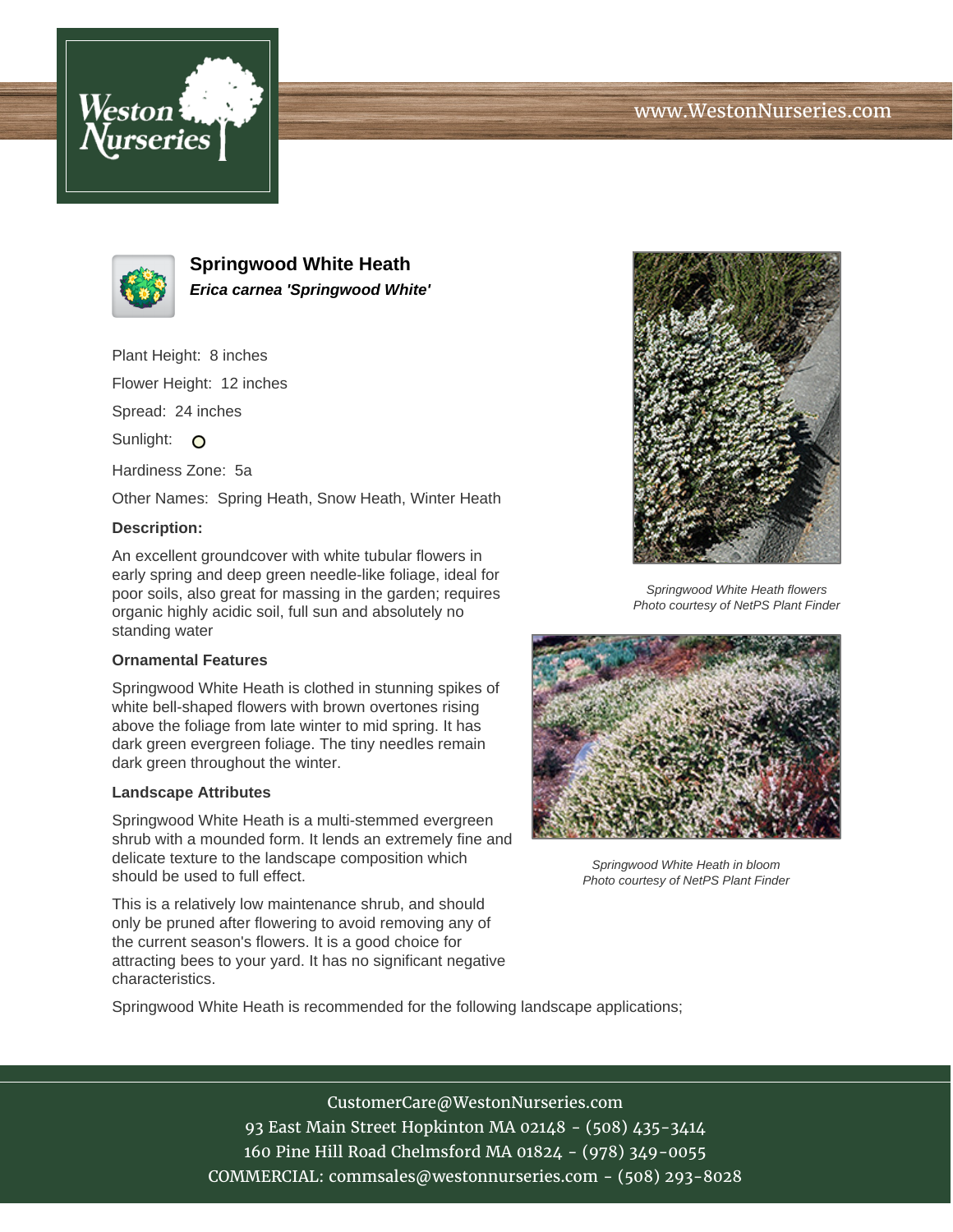



**Springwood White Heath Erica carnea 'Springwood White'**

Plant Height: 8 inches

Flower Height: 12 inches

Spread: 24 inches

Sunlight: O

Hardiness Zone: 5a

Other Names: Spring Heath, Snow Heath, Winter Heath

## **Description:**

An excellent groundcover with white tubular flowers in early spring and deep green needle-like foliage, ideal for poor soils, also great for massing in the garden; requires organic highly acidic soil, full sun and absolutely no standing water

## **Ornamental Features**

Springwood White Heath is clothed in stunning spikes of white bell-shaped flowers with brown overtones rising above the foliage from late winter to mid spring. It has dark green evergreen foliage. The tiny needles remain dark green throughout the winter.

## **Landscape Attributes**

Springwood White Heath is a multi-stemmed evergreen shrub with a mounded form. It lends an extremely fine and delicate texture to the landscape composition which should be used to full effect.

This is a relatively low maintenance shrub, and should only be pruned after flowering to avoid removing any of the current season's flowers. It is a good choice for attracting bees to your yard. It has no significant negative characteristics.



Springwood White Heath flowers Photo courtesy of NetPS Plant Finder



Springwood White Heath in bloom Photo courtesy of NetPS Plant Finder

Springwood White Heath is recommended for the following landscape applications;

CustomerCare@WestonNurseries.com 93 East Main Street Hopkinton MA 02148 - (508) 435-3414 160 Pine Hill Road Chelmsford MA 01824 - (978) 349-0055 COMMERCIAL: commsales@westonnurseries.com - (508) 293-8028